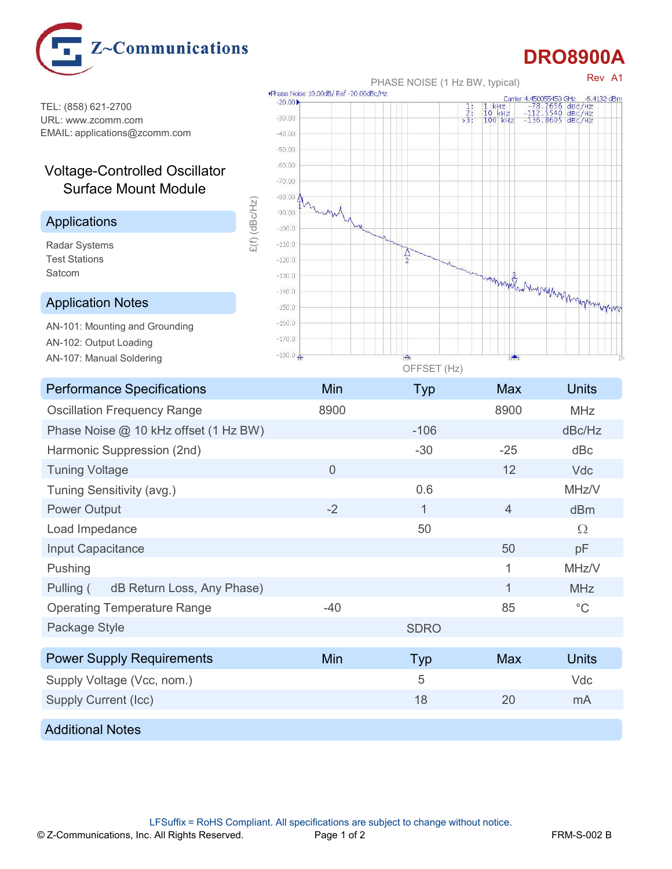

## DRO8900A

TEL: (858) 621-2700<br>
HPL: www.zeemm.com URL: www.zcomm.com EMAIL: applications@zcomm.com

## Voltage-Controlled Oscillator Surface Mount Module

## Applications

Test Stations



## Application Notes **Application** Notes **Application**

AN-101: Mounting and Grounding AN-102: Output Loading AN-107: Manual Soldering **AN-180.0** 

| <b>Performance Specifications</b>                                                                                                    | Min            | <b>Typ</b>   | Max            | <b>Units</b>       |
|--------------------------------------------------------------------------------------------------------------------------------------|----------------|--------------|----------------|--------------------|
| <b>Oscillation Frequency Range</b>                                                                                                   | 8900           |              | 8900           | MHz                |
| Phase Noise @ 10 kHz offset (1 Hz BW)                                                                                                |                | $-106$       |                | dBc/Hz             |
| Harmonic Suppression (2nd)                                                                                                           |                | $-30$        | $-25$          | dBc                |
| <b>Tuning Voltage</b>                                                                                                                | $\overline{0}$ |              | 12             | Vdc                |
| Tuning Sensitivity (avg.)                                                                                                            |                | 0.6          |                | MHz/V              |
| <b>Power Output</b>                                                                                                                  | $-2$           | $\mathbf{1}$ | $\overline{4}$ | dBm                |
| Load Impedance                                                                                                                       |                | 50           |                | $\Omega$           |
| Input Capacitance                                                                                                                    |                |              | 50             | pF                 |
| Pushing                                                                                                                              |                |              | $\mathbf{1}$   | MHz/V              |
| dB Return Loss, Any Phase)<br>Pulling (                                                                                              |                |              | $\mathbf{1}$   | MHz                |
| <b>Operating Temperature Range</b>                                                                                                   | $-40$          |              | 85             | $^{\circ}{\rm C}$  |
| Package Style                                                                                                                        |                | <b>SDRO</b>  |                |                    |
| <b>Power Supply Requirements</b>                                                                                                     | Min            | Typ          | <b>Max</b>     | <b>Units</b>       |
| Supply Voltage (Vcc, nom.)                                                                                                           |                | 5            |                | Vdc                |
| <b>Supply Current (Icc)</b>                                                                                                          |                | 18           | 20             | mA                 |
| <b>Additional Notes</b>                                                                                                              |                |              |                |                    |
|                                                                                                                                      |                |              |                |                    |
|                                                                                                                                      |                |              |                |                    |
|                                                                                                                                      |                |              |                |                    |
| LFSuffix = RoHS Compliant. All specifications are subject to change without notice.<br>© Z-Communications, Inc. All Rights Reserved. | Page 1 of 2    |              |                | <b>FRM-S-002 B</b> |
|                                                                                                                                      |                |              |                |                    |
|                                                                                                                                      |                |              |                |                    |